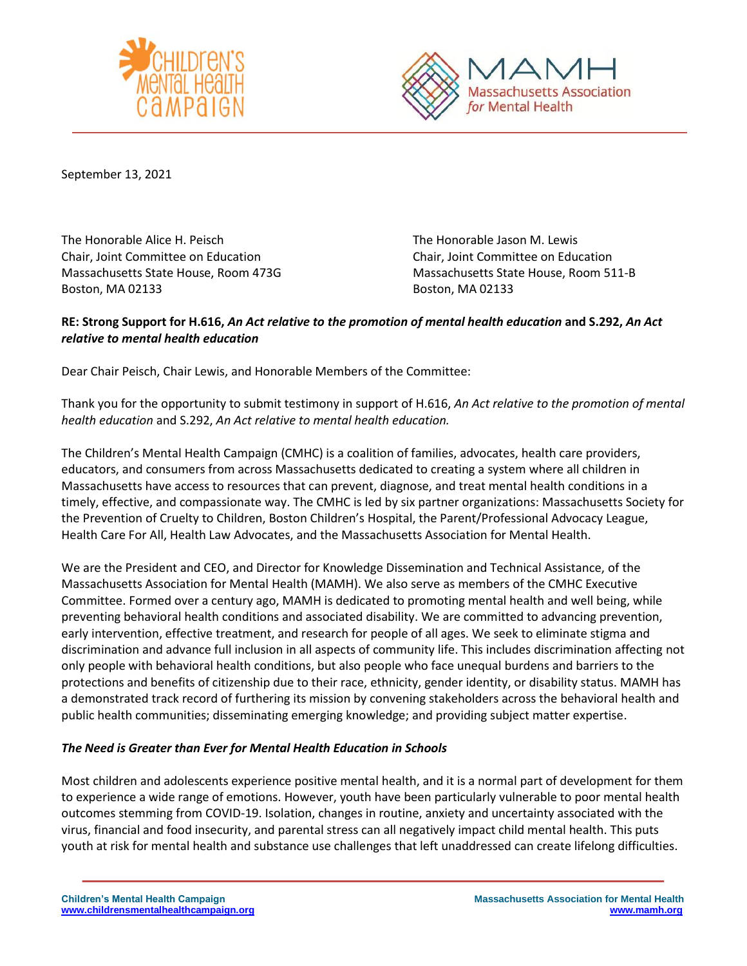



September 13, 2021

The Honorable Alice H. Peisch The Honorable Jason M. Lewis Chair, Joint Committee on Education Chair, Joint Committee on Education Boston, MA 02133 Boston, MA 02133

Massachusetts State House, Room 473G Massachusetts State House, Room 511-B

## **RE: Strong Support for H.616,** *An Act relative to the promotion of mental health education* **and S.292,** *An Act relative to mental health education*

Dear Chair Peisch, Chair Lewis, and Honorable Members of the Committee:

Thank you for the opportunity to submit testimony in support of H.616, *An Act relative to the promotion of mental health education* and S.292, *An Act relative to mental health education.*

The Children's Mental Health Campaign (CMHC) is a coalition of families, advocates, health care providers, educators, and consumers from across Massachusetts dedicated to creating a system where all children in Massachusetts have access to resources that can prevent, diagnose, and treat mental health conditions in a timely, effective, and compassionate way. The CMHC is led by six partner organizations: Massachusetts Society for the Prevention of Cruelty to Children, Boston Children's Hospital, the Parent/Professional Advocacy League, Health Care For All, Health Law Advocates, and the Massachusetts Association for Mental Health.

We are the President and CEO, and Director for Knowledge Dissemination and Technical Assistance, of the Massachusetts Association for Mental Health (MAMH). We also serve as members of the CMHC Executive Committee. Formed over a century ago, MAMH is dedicated to promoting mental health and well being, while preventing behavioral health conditions and associated disability. We are committed to advancing prevention, early intervention, effective treatment, and research for people of all ages. We seek to eliminate stigma and discrimination and advance full inclusion in all aspects of community life. This includes discrimination affecting not only people with behavioral health conditions, but also people who face unequal burdens and barriers to the protections and benefits of citizenship due to their race, ethnicity, gender identity, or disability status. MAMH has a demonstrated track record of furthering its mission by convening stakeholders across the behavioral health and public health communities; disseminating emerging knowledge; and providing subject matter expertise.

## *The Need is Greater than Ever for Mental Health Education in Schools*

Most children and adolescents experience positive mental health, and it is a normal part of development for them to experience a wide range of emotions. However, youth have been particularly vulnerable to poor mental health outcomes stemming from COVID-19. Isolation, changes in routine, anxiety and uncertainty associated with the virus, financial and food insecurity, and parental stress can all negatively impact child mental health. This puts youth at risk for mental health and substance use challenges that left unaddressed can create lifelong difficulties.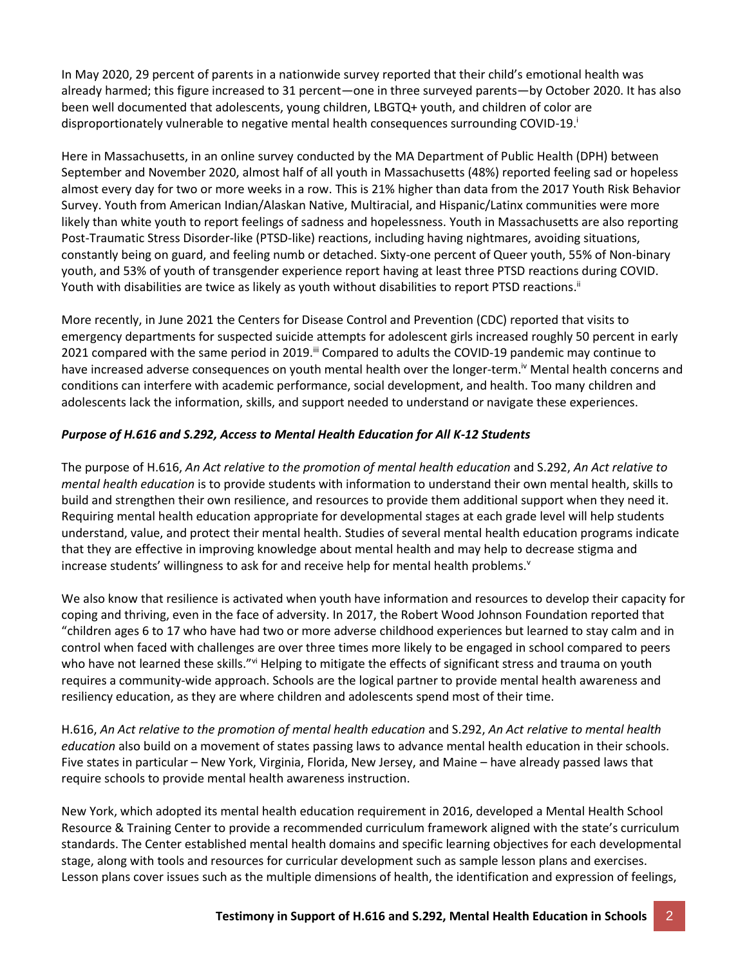In May 2020, 29 percent of parents in a nationwide survey reported that their child's emotional health was already harmed; this figure increased to 31 percent—one in three surveyed parents—by October 2020. It has also been well documented that adolescents, young children, LBGTQ+ youth, and children of color are disproportionately vulnerable to negative mental health consequences surrounding COVID-19.

Here in Massachusetts, in an online survey conducted by the MA Department of Public Health (DPH) between September and November 2020, almost half of all youth in Massachusetts (48%) reported feeling sad or hopeless almost every day for two or more weeks in a row. This is 21% higher than data from the 2017 Youth Risk Behavior Survey. Youth from American Indian/Alaskan Native, Multiracial, and Hispanic/Latinx communities were more likely than white youth to report feelings of sadness and hopelessness. Youth in Massachusetts are also reporting Post-Traumatic Stress Disorder-like (PTSD-like) reactions, including having nightmares, avoiding situations, constantly being on guard, and feeling numb or detached. Sixty-one percent of Queer youth, 55% of Non-binary youth, and 53% of youth of transgender experience report having at least three PTSD reactions during COVID. Youth with disabilities are twice as likely as youth without disabilities to report PTSD reactions. ii

More recently, in June 2021 the Centers for Disease Control and Prevention (CDC) reported that visits to emergency departments for suspected suicide attempts for adolescent girls increased roughly 50 percent in early 2021 compared with the same period in 2019.<sup>ii</sup> Compared to adults the COVID-19 pandemic may continue to have increased adverse consequences on youth mental health over the longer-term.<sup>iv</sup> Mental health concerns and conditions can interfere with academic performance, social development, and health. Too many children and adolescents lack the information, skills, and support needed to understand or navigate these experiences.

## *Purpose of H.616 and S.292, Access to Mental Health Education for All K-12 Students*

The purpose of H.616, *An Act relative to the promotion of mental health education* and S.292, *An Act relative to mental health education* is to provide students with information to understand their own mental health, skills to build and strengthen their own resilience, and resources to provide them additional support when they need it. Requiring mental health education appropriate for developmental stages at each grade level will help students understand, value, and protect their mental health. Studies of several mental health education programs indicate that they are effective in improving knowledge about mental health and may help to decrease stigma and increase students' willingness to ask for and receive help for mental health problems. $v$ 

We also know that resilience is activated when youth have information and resources to develop their capacity for coping and thriving, even in the face of adversity. In 2017, the Robert Wood Johnson Foundation reported that "children ages 6 to 17 who have had two or more adverse childhood experiences but learned to stay calm and in control when faced with challenges are over three times more likely to be engaged in school compared to peers who have not learned these skills."vi Helping to mitigate the effects of significant stress and trauma on youth requires a community-wide approach. Schools are the logical partner to provide mental health awareness and resiliency education, as they are where children and adolescents spend most of their time.

H.616, *An Act relative to the promotion of mental health education* and S.292, *An Act relative to mental health education* also build on a movement of states passing laws to advance mental health education in their schools. Five states in particular – New York, Virginia, Florida, New Jersey, and Maine – have already passed laws that require schools to provide mental health awareness instruction.

New York, which adopted its mental health education requirement in 2016, developed a Mental Health School Resource & Training Center to provide a recommended curriculum framework aligned with the state's curriculum standards. The Center established mental health domains and specific learning objectives for each developmental stage, along with tools and resources for curricular development such as sample lesson plans and exercises. Lesson plans cover issues such as the multiple dimensions of health, the identification and expression of feelings,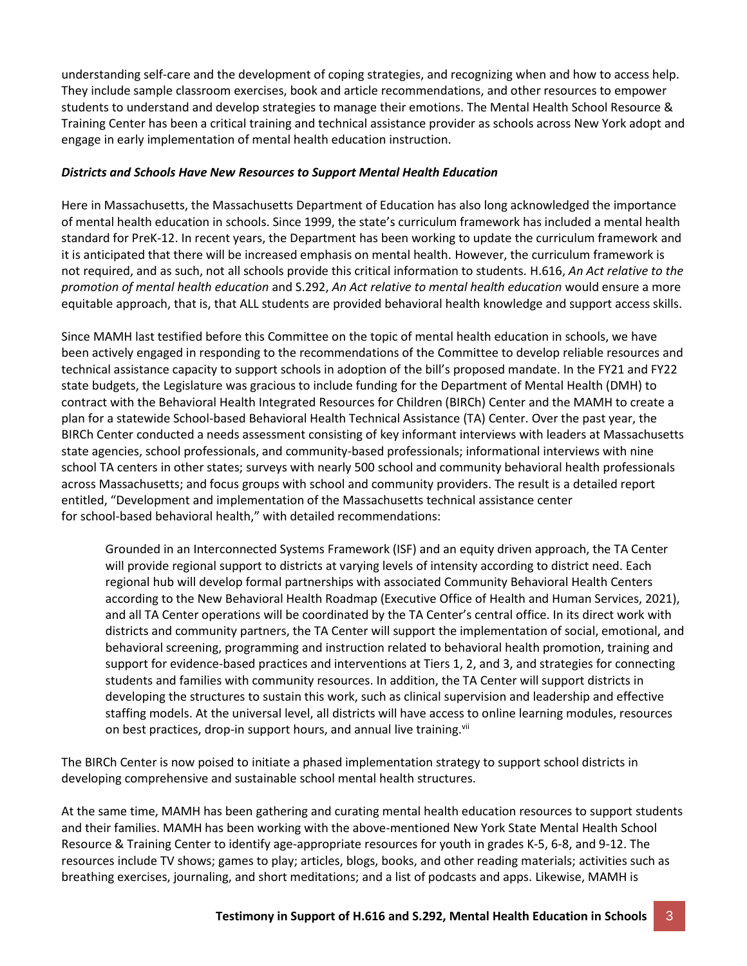understanding self-care and the development of coping strategies, and recognizing when and how to access help. They include sample classroom exercises, book and article recommendations, and other resources to empower students to understand and develop strategies to manage their emotions. The Mental Health School Resource & Training Center has been a critical training and technical assistance provider as schools across New York adopt and engage in early implementation of mental health education instruction.

## *Districts and Schools Have New Resources to Support Mental Health Education*

Here in Massachusetts, the Massachusetts Department of Education has also long acknowledged the importance of mental health education in schools. Since 1999, the state's curriculum framework has included a mental health standard for PreK-12. In recent years, the Department has been working to update the curriculum framework and it is anticipated that there will be increased emphasis on mental health. However, the curriculum framework is not required, and as such, not all schools provide this critical information to students. H.616, *An Act relative to the promotion of mental health education* and S.292, *An Act relative to mental health education* would ensure a more equitable approach, that is, that ALL students are provided behavioral health knowledge and support access skills.

Since MAMH last testified before this Committee on the topic of mental health education in schools, we have been actively engaged in responding to the recommendations of the Committee to develop reliable resources and technical assistance capacity to support schools in adoption of the bill's proposed mandate. In the FY21 and FY22 state budgets, the Legislature was gracious to include funding for the Department of Mental Health (DMH) to contract with the Behavioral Health Integrated Resources for Children (BIRCh) Center and the MAMH to create a plan for a statewide School-based Behavioral Health Technical Assistance (TA) Center. Over the past year, the BIRCh Center conducted a needs assessment consisting of key informant interviews with leaders at Massachusetts state agencies, school professionals, and community-based professionals; informational interviews with nine school TA centers in other states; surveys with nearly 500 school and community behavioral health professionals across Massachusetts; and focus groups with school and community providers. The result is a detailed report entitled, "Development and implementation of the Massachusetts technical assistance center for school-based behavioral health," with detailed recommendations:

Grounded in an Interconnected Systems Framework (ISF) and an equity driven approach, the TA Center will provide regional support to districts at varying levels of intensity according to district need. Each regional hub will develop formal partnerships with associated Community Behavioral Health Centers according to the New Behavioral Health Roadmap (Executive Office of Health and Human Services, 2021), and all TA Center operations will be coordinated by the TA Center's central office. In its direct work with districts and community partners, the TA Center will support the implementation of social, emotional, and behavioral screening, programming and instruction related to behavioral health promotion, training and support for evidence-based practices and interventions at Tiers 1, 2, and 3, and strategies for connecting students and families with community resources. In addition, the TA Center will support districts in developing the structures to sustain this work, such as clinical supervision and leadership and effective staffing models. At the universal level, all districts will have access to online learning modules, resources on best practices, drop-in support hours, and annual live training.<sup>vii</sup>

The BIRCh Center is now poised to initiate a phased implementation strategy to support school districts in developing comprehensive and sustainable school mental health structures.

At the same time, MAMH has been gathering and curating mental health education resources to support students and their families. MAMH has been working with the above-mentioned New York State Mental Health School Resource & Training Center to identify age-appropriate resources for youth in grades K-5, 6-8, and 9-12. The resources include TV shows; games to play; articles, blogs, books, and other reading materials; activities such as breathing exercises, journaling, and short meditations; and a list of podcasts and apps. Likewise, MAMH is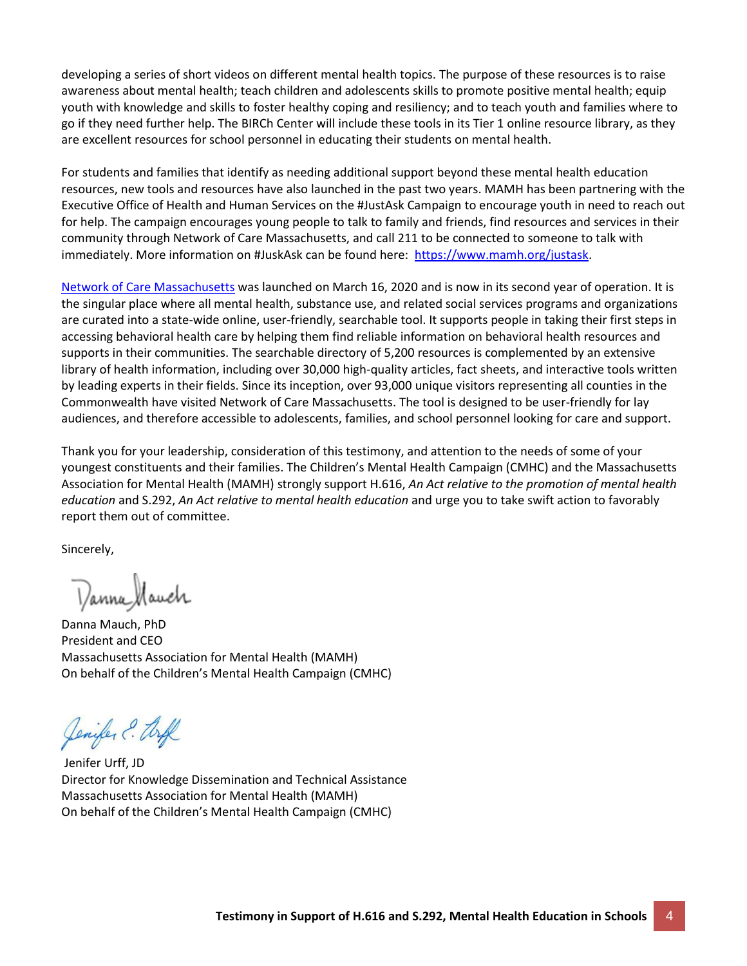developing a series of short videos on different mental health topics. The purpose of these resources is to raise awareness about mental health; teach children and adolescents skills to promote positive mental health; equip youth with knowledge and skills to foster healthy coping and resiliency; and to teach youth and families where to go if they need further help. The BIRCh Center will include these tools in its Tier 1 online resource library, as they are excellent resources for school personnel in educating their students on mental health.

For students and families that identify as needing additional support beyond these mental health education resources, new tools and resources have also launched in the past two years. MAMH has been partnering with the Executive Office of Health and Human Services on the #JustAsk Campaign to encourage youth in need to reach out for help. The campaign encourages young people to talk to family and friends, find resources and services in their community through Network of Care Massachusetts, and call 211 to be connected to someone to talk with immediately. More information on #JuskAsk can be found here: [https://www.mamh.org/justask.](https://www.mamh.org/justask)

[Network of Care Massachusetts](https://massachusetts.networkofcare.org/mh/index.aspx) was launched on March 16, 2020 and is now in its second year of operation. It is the singular place where all mental health, substance use, and related social services programs and organizations are curated into a state-wide online, user-friendly, searchable tool. It supports people in taking their first steps in accessing behavioral health care by helping them find reliable information on behavioral health resources and supports in their communities. The searchable directory of 5,200 resources is complemented by an extensive library of health information, including over 30,000 high-quality articles, fact sheets, and interactive tools written by leading experts in their fields. Since its inception, over 93,000 unique visitors representing all counties in the Commonwealth have visited Network of Care Massachusetts. The tool is designed to be user-friendly for lay audiences, and therefore accessible to adolescents, families, and school personnel looking for care and support.

Thank you for your leadership, consideration of this testimony, and attention to the needs of some of your youngest constituents and their families. The Children's Mental Health Campaign (CMHC) and the Massachusetts Association for Mental Health (MAMH) strongly support H.616, *An Act relative to the promotion of mental health education* and S.292, *An Act relative to mental health education* and urge you to take swift action to favorably report them out of committee.

Sincerely,

Danna Mauch

Danna Mauch, PhD President and CEO Massachusetts Association for Mental Health (MAMH) On behalf of the Children's Mental Health Campaign (CMHC)

Jenifer ? toff

Jenifer Urff, JD Director for Knowledge Dissemination and Technical Assistance Massachusetts Association for Mental Health (MAMH) On behalf of the Children's Mental Health Campaign (CMHC)